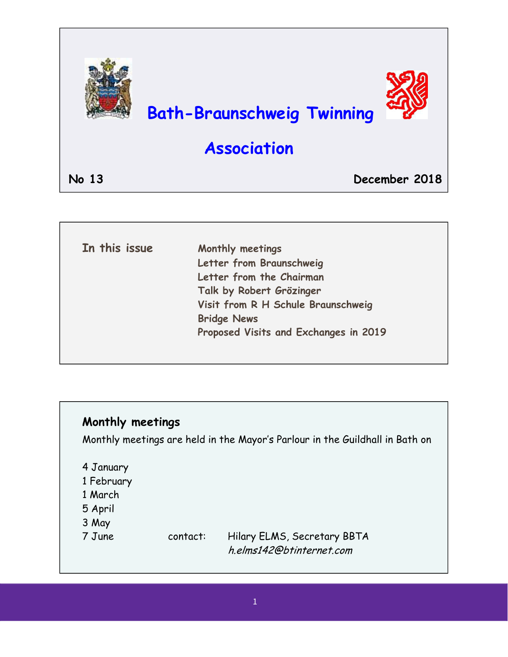

| Letter from Braunschweig              |
|---------------------------------------|
|                                       |
| Letter from the Chairman              |
| Talk by Robert Grözinger              |
| Visit from R H Schule Braunschweig    |
| <b>Bridge News</b>                    |
| Proposed Visits and Exchanges in 2019 |

### **Monthly meetings**

Monthly meetings are held in the Mayor's Parlour in the Guildhall in Bath on

4 January

 $\overline{\phantom{a}}$ 

- 1 February
- 1 March
- 5 April
- 3 May
- 

7 June contact: Hilary ELMS, Secretary BBTA h.elms142@btinternet.com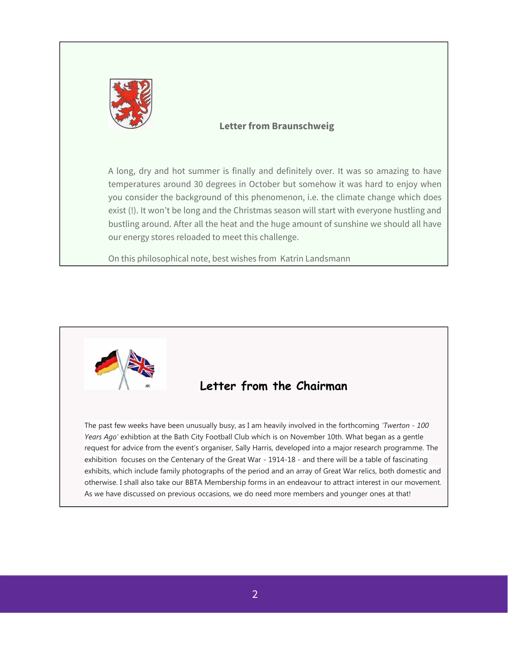

#### **Letter from Braunschweig**

A long, dry and hot summer is finally and definitely over. It was so amazing to have temperatures around 30 degrees in October but somehow it was hard to enjoy when you consider the background of this phenomenon, i.e. the climate change which does exist (!). It won't be long and the Christmas season will start with everyone hustling and bustling around. After all the heat and the huge amount of sunshine we should all have our energy stores reloaded to meet this challenge.

On this philosophical note, best wishes from Katrin Landsmann

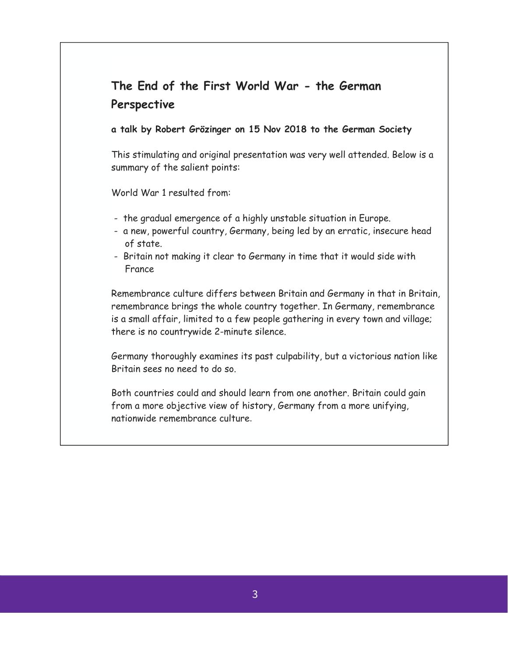# **The End of the First World War - the German Perspective**

#### **a talk by Robert Grözinger on 15 Nov 2018 to the German Society**

This stimulating and original presentation was very well attended. Below is a summary of the salient points:

World War 1 resulted from:

- the gradual emergence of a highly unstable situation in Europe.
- a new, powerful country, Germany, being led by an erratic, insecure head of state.
- Britain not making it clear to Germany in time that it would side with France

Remembrance culture differs between Britain and Germany in that in Britain, remembrance brings the whole country together. In Germany, remembrance is a small affair, limited to a few people gathering in every town and village; there is no countrywide 2-minute silence.

Germany thoroughly examines its past culpability, but a victorious nation like Britain sees no need to do so.

Both countries could and should learn from one another. Britain could gain from a more objective view of history, Germany from a more unifying, nationwide remembrance culture.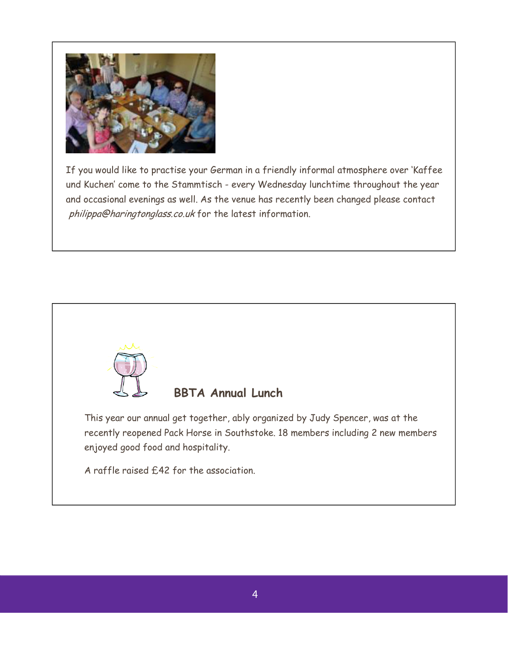

If you would like to practise your German in a friendly informal atmosphere over 'Kaffee und Kuchen' come to the Stammtisch - every Wednesday lunchtime throughout the year and occasional evenings as well. As the venue has recently been changed please contact philippa@haringtonglass.co.uk for the latest information.

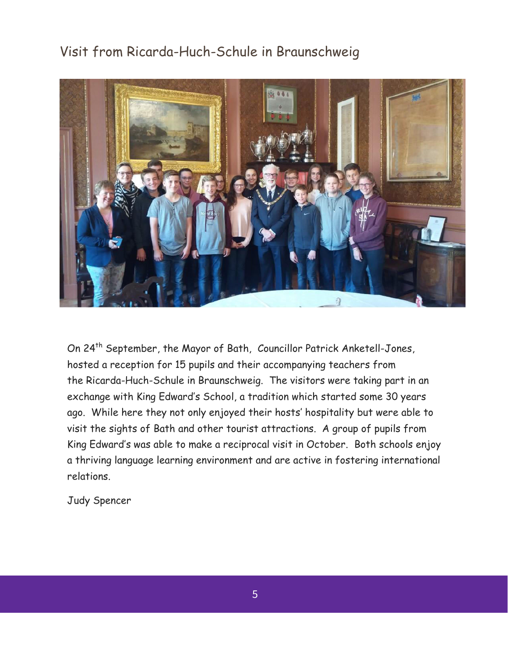## Visit from Ricarda-Huch-Schule in Braunschweig



On 24<sup>th</sup> September, the Mayor of Bath, Councillor Patrick Anketell-Jones, hosted a reception for 15 pupils and their accompanying teachers from the Ricarda-Huch-Schule in Braunschweig. The visitors were taking part in an exchange with King Edward's School, a tradition which started some 30 years ago. While here they not only enjoyed their hosts' hospitality but were able to visit the sights of Bath and other tourist attractions. A group of pupils from King Edward's was able to make a reciprocal visit in October. Both schools enjoy a thriving language learning environment and are active in fostering international relations.

Judy Spencer